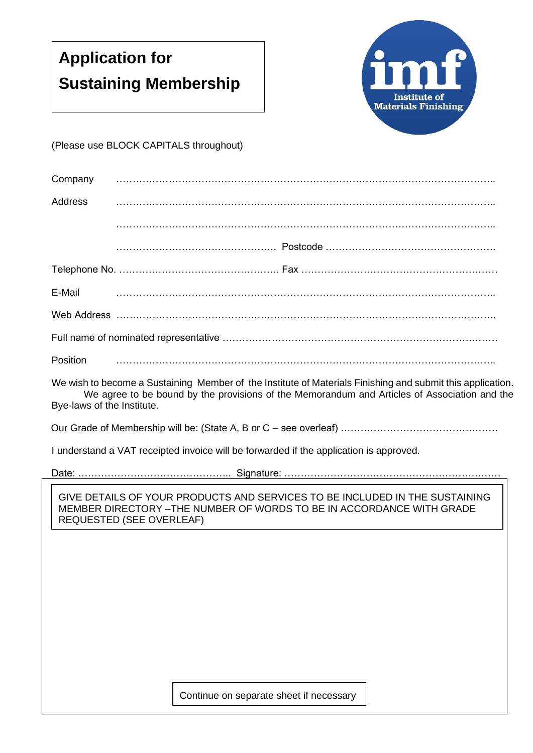## **Application for Sustaining Membership**



(Please use BLOCK CAPITALS throughout)

| Company                                                                                                                                                                                                                                  |                                                                                                                                                                                         |  |  |  |
|------------------------------------------------------------------------------------------------------------------------------------------------------------------------------------------------------------------------------------------|-----------------------------------------------------------------------------------------------------------------------------------------------------------------------------------------|--|--|--|
| <b>Address</b>                                                                                                                                                                                                                           |                                                                                                                                                                                         |  |  |  |
|                                                                                                                                                                                                                                          |                                                                                                                                                                                         |  |  |  |
|                                                                                                                                                                                                                                          |                                                                                                                                                                                         |  |  |  |
|                                                                                                                                                                                                                                          |                                                                                                                                                                                         |  |  |  |
| E-Mail                                                                                                                                                                                                                                   |                                                                                                                                                                                         |  |  |  |
|                                                                                                                                                                                                                                          |                                                                                                                                                                                         |  |  |  |
|                                                                                                                                                                                                                                          |                                                                                                                                                                                         |  |  |  |
| <b>Position</b>                                                                                                                                                                                                                          |                                                                                                                                                                                         |  |  |  |
| We wish to become a Sustaining Member of the Institute of Materials Finishing and submit this application.<br>We agree to be bound by the provisions of the Memorandum and Articles of Association and the<br>Bye-laws of the Institute. |                                                                                                                                                                                         |  |  |  |
|                                                                                                                                                                                                                                          |                                                                                                                                                                                         |  |  |  |
|                                                                                                                                                                                                                                          | I understand a VAT receipted invoice will be forwarded if the application is approved.                                                                                                  |  |  |  |
|                                                                                                                                                                                                                                          |                                                                                                                                                                                         |  |  |  |
|                                                                                                                                                                                                                                          | GIVE DETAILS OF YOUR PRODUCTS AND SERVICES TO BE INCLUDED IN THE SUSTAINING<br>MEMBER DIRECTORY - THE NUMBER OF WORDS TO BE IN ACCORDANCE WITH GRADE<br><b>REQUESTED (SEE OVERLEAF)</b> |  |  |  |
|                                                                                                                                                                                                                                          |                                                                                                                                                                                         |  |  |  |

Continue on separate sheet if necessary